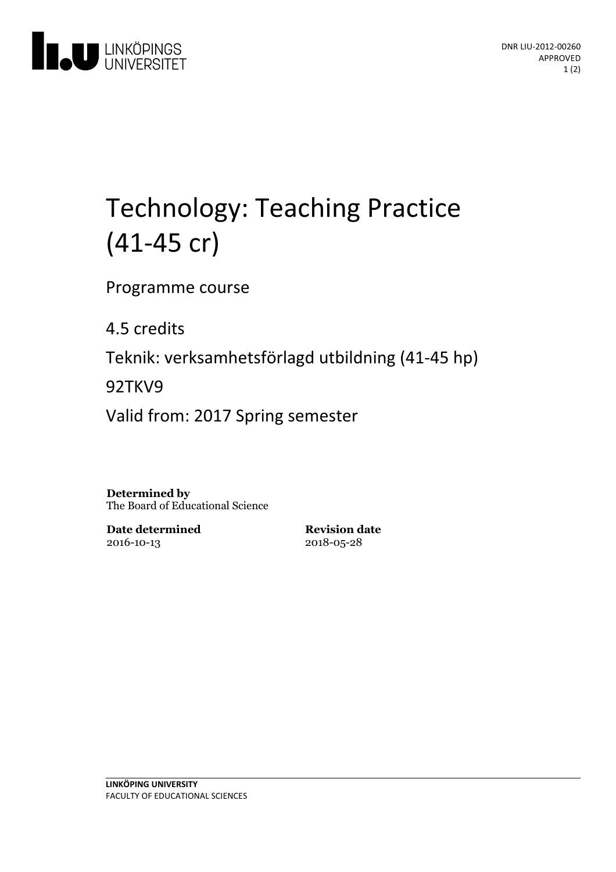

# Technology: Teaching Practice (41-45 cr)

Programme course

4.5 credits

Teknik: verksamhetsförlagd utbildning(41-45 hp)

92TKV9

Valid from: 2017 Spring semester

**Determined by** The Board of Educational Science

**Date determined** 2016-10-13

**Revision date** 2018-05-28